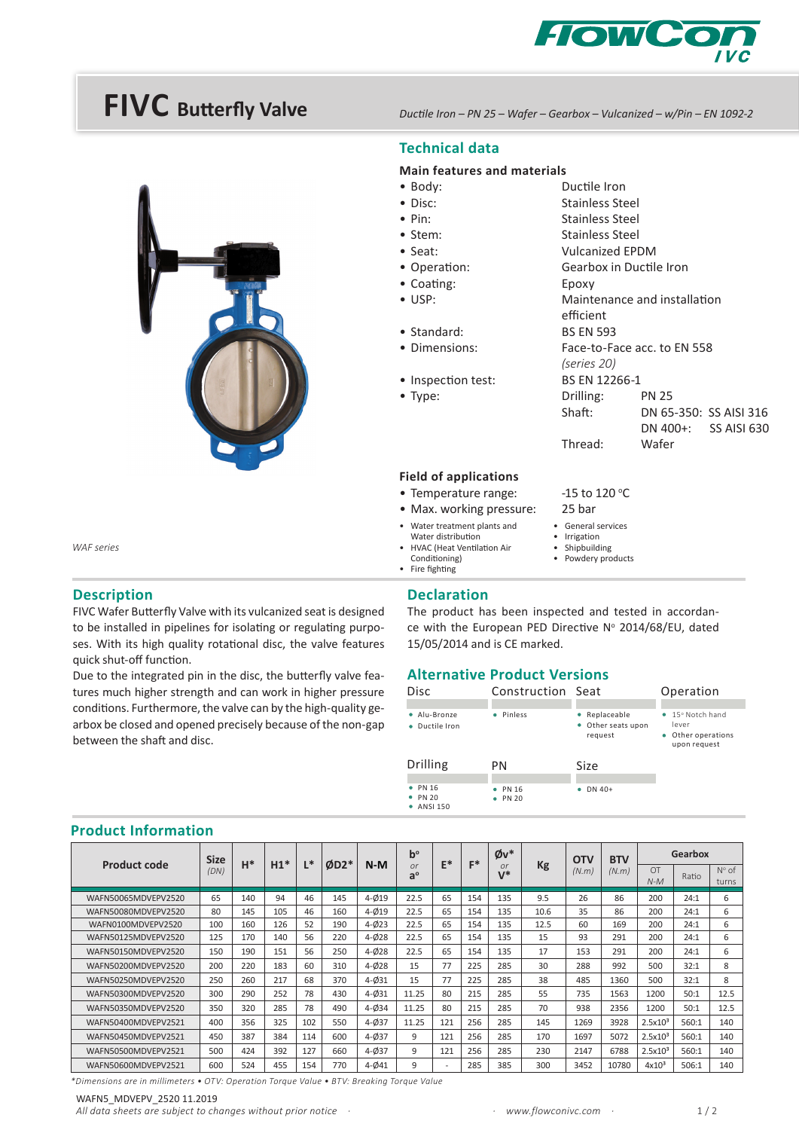

# **FIVC Butterfly Valve**



*WAF series*

#### **Description**

FIVC Wafer Butterfly Valve with its vulcanized seat is designed to be installed in pipelines for isolating or regulating purposes. With its high quality rotational disc, the valve features quick shut-off function.

Due to the integrated pin in the disc, the butterfly valve features much higher strength and can work in higher pressure conditions. Furthermore, the valve can by the high-quality gearbox be closed and opened precisely because of the non-gap between the shaft and disc.

*Ductile Iron – PN 25 – Wafer – Gearbox – Vulcanized – w/Pin – EN 1092-2*

### **Technical data**

#### **Main features and materials**

| $\bullet$ Body:    | Ductile Iron                 |                        |  |  |  |  |  |  |
|--------------------|------------------------------|------------------------|--|--|--|--|--|--|
| $\bullet$ Disc:    | <b>Stainless Steel</b>       |                        |  |  |  |  |  |  |
|                    |                              |                        |  |  |  |  |  |  |
| $\bullet$ Pin:     | Stainless Steel              |                        |  |  |  |  |  |  |
| $\bullet$ Stem:    | <b>Stainless Steel</b>       |                        |  |  |  |  |  |  |
| $\bullet$ Seat:    | <b>Vulcanized EPDM</b>       |                        |  |  |  |  |  |  |
| • Operation:       | Gearbox in Ductile Iron      |                        |  |  |  |  |  |  |
| • Coating:         | Epoxy                        |                        |  |  |  |  |  |  |
| $\bullet$ USP:     | Maintenance and installation |                        |  |  |  |  |  |  |
|                    | efficient                    |                        |  |  |  |  |  |  |
| • Standard:        | <b>BS EN 593</b>             |                        |  |  |  |  |  |  |
| • Dimensions:      | Face-to-Face acc. to EN 558  |                        |  |  |  |  |  |  |
|                    | (series 20)                  |                        |  |  |  |  |  |  |
| • Inspection test: | BS EN 12266-1                |                        |  |  |  |  |  |  |
| $\bullet$ Type:    | Drilling:                    | <b>PN 25</b>           |  |  |  |  |  |  |
|                    | Shaft: Shaft:                | DN 65-350: SS AISI 316 |  |  |  |  |  |  |
|                    |                              | DN 400+: SS AISI 630   |  |  |  |  |  |  |
|                    | Thread:                      |                        |  |  |  |  |  |  |
|                    |                              | Wafer                  |  |  |  |  |  |  |
|                    |                              |                        |  |  |  |  |  |  |

#### **Field of applications**

- Temperature range:
- Max. working pressure: 25 bar
- Water treatment plants and
- Water distribution • HVAC (Heat Ventilation Air
- Conditioning)
- Fire fighting
- General services • Irrigation
- Shipbuilding
- Powdery products

-15 to 120  $^{\circ}$ C

## **Declaration**

The product has been inspected and tested in accordance with the European PED Directive  $N^{\circ}$  2014/68/EU, dated 15/05/2014 and is CE marked.

#### **Alternative Product Versions**

| <b>Disc</b>                                    | Construction Seat                  |                                            | Operation                                                                          |  |  |  |  |
|------------------------------------------------|------------------------------------|--------------------------------------------|------------------------------------------------------------------------------------|--|--|--|--|
|                                                |                                    |                                            |                                                                                    |  |  |  |  |
| • Alu-Bronze<br>• Ductile Iron                 | · Pinless                          | Replaceable<br>Other seats upon<br>request | $\bullet$ 15° Notch hand<br>lever<br>Other operations<br>$\bullet$<br>upon request |  |  |  |  |
| <b>Drilling</b>                                | PN                                 | Size                                       |                                                                                    |  |  |  |  |
| $\bullet$ PN 16<br>$\bullet$ PN 20<br>ANSI 150 | $\bullet$ PN 16<br>$\bullet$ PN 20 | $DN$ 40+                                   |                                                                                    |  |  |  |  |

# **Product Information**

| <b>Product code</b> | <b>Size</b><br>(DN) | $H^*$ | $H1*$ | $L^*$ | $ØD2*$ |           | $b^{\circ}$       |       | $F^*$ | $Qv^*$    | Kg   | <b>OTV</b><br>(N,m) | <b>BTV</b><br>(N,m) | <b>Gearbox</b>          |       |                         |
|---------------------|---------------------|-------|-------|-------|--------|-----------|-------------------|-------|-------|-----------|------|---------------------|---------------------|-------------------------|-------|-------------------------|
|                     |                     |       |       |       |        | N-M       | or<br>$a^{\circ}$ | $E^*$ |       | or<br>11* |      |                     |                     | O <sub>T</sub><br>$N-M$ | Ratio | $N^{\circ}$ of<br>turns |
| WAFN50065MDVEPV2520 | 65                  | 140   | 94    | 46    | 145    | $4 - 019$ | 22.5              | 65    | 154   | 135       | 9.5  | 26                  | 86                  | 200                     | 24:1  | 6                       |
| WAFN50080MDVEPV2520 | 80                  | 145   | 105   | 46    | 160    | $4 - 019$ | 22.5              | 65    | 154   | 135       | 10.6 | 35                  | 86                  | 200                     | 24:1  | 6                       |
| WAFN0100MDVEPV2520  | 100                 | 160   | 126   | 52    | 190    | $4 - 023$ | 22.5              | 65    | 154   | 135       | 12.5 | 60                  | 169                 | 200                     | 24:1  | 6                       |
| WAFN50125MDVEPV2520 | 125                 | 170   | 140   | 56    | 220    | $4 - 028$ | 22.5              | 65    | 154   | 135       | 15   | 93                  | 291                 | 200                     | 24:1  | 6                       |
| WAFN50150MDVEPV2520 | 150                 | 190   | 151   | 56    | 250    | $4 - 028$ | 22.5              | 65    | 154   | 135       | 17   | 153                 | 291                 | 200                     | 24:1  | 6                       |
| WAFN50200MDVEPV2520 | 200                 | 220   | 183   | 60    | 310    | $4 - 028$ | 15                | 77    | 225   | 285       | 30   | 288                 | 992                 | 500                     | 32:1  | 8                       |
| WAFN50250MDVEPV2520 | 250                 | 260   | 217   | 68    | 370    | $4 - 031$ | 15                | 77    | 225   | 285       | 38   | 485                 | 1360                | 500                     | 32:1  | 8                       |
| WAFN50300MDVEPV2520 | 300                 | 290   | 252   | 78    | 430    | $4 - 031$ | 11.25             | 80    | 215   | 285       | 55   | 735                 | 1563                | 1200                    | 50:1  | 12.5                    |
| WAFN50350MDVEPV2520 | 350                 | 320   | 285   | 78    | 490    | $4 - 034$ | 11.25             | 80    | 215   | 285       | 70   | 938                 | 2356                | 1200                    | 50:1  | 12.5                    |
| WAFN50400MDVEPV2521 | 400                 | 356   | 325   | 102   | 550    | $4 - 037$ | 11.25             | 121   | 256   | 285       | 145  | 1269                | 3928                | 2.5x10 <sup>3</sup>     | 560:1 | 140                     |
| WAFN50450MDVEPV2521 | 450                 | 387   | 384   | 114   | 600    | $4 - 037$ | 9                 | 121   | 256   | 285       | 170  | 1697                | 5072                | 2.5x10 <sup>3</sup>     | 560:1 | 140                     |
| WAFN50500MDVEPV2521 | 500                 | 424   | 392   | 127   | 660    | $4 - 037$ | 9                 | 121   | 256   | 285       | 230  | 2147                | 6788                | 2.5x10 <sup>3</sup>     | 560:1 | 140                     |
| WAFN50600MDVEPV2521 | 600                 | 524   | 455   | 154   | 770    | $4 - 041$ | 9                 |       | 285   | 385       | 300  | 3452                | 10780               | 4x10 <sup>3</sup>       | 506:1 | 140                     |

*\*Dimensions are in millimeters • OTV: Operation Torque Value • BTV: Breaking Torque Value*

*All data sheets are subject to changes without prior notice · · www.flowconivc.com ·*